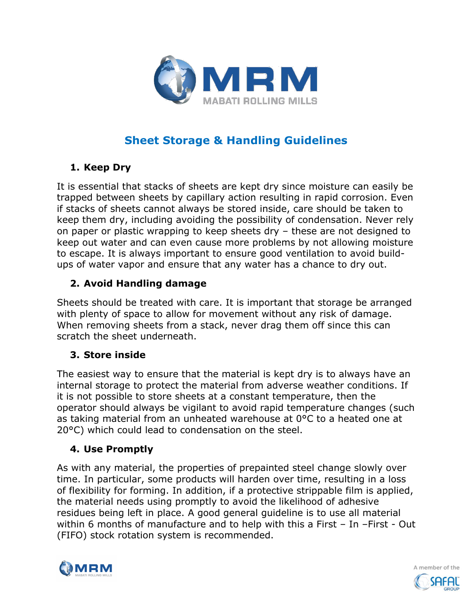

# **Sheet Storage & Handling Guidelines**

## **1. Keep Dry**

It is essential that stacks of sheets are kept dry since moisture can easily be trapped between sheets by capillary action resulting in rapid corrosion. Even if stacks of sheets cannot always be stored inside, care should be taken to keep them dry, including avoiding the possibility of condensation. Never rely on paper or plastic wrapping to keep sheets dry – these are not designed to keep out water and can even cause more problems by not allowing moisture to escape. It is always important to ensure good ventilation to avoid buildups of water vapor and ensure that any water has a chance to dry out.

## **2. Avoid Handling damage**

Sheets should be treated with care. It is important that storage be arranged with plenty of space to allow for movement without any risk of damage. When removing sheets from a stack, never drag them off since this can scratch the sheet underneath.

## **3. Store inside**

The easiest way to ensure that the material is kept dry is to always have an internal storage to protect the material from adverse weather conditions. If it is not possible to store sheets at a constant temperature, then the operator should always be vigilant to avoid rapid temperature changes (such as taking material from an unheated warehouse at 0°C to a heated one at 20°C) which could lead to condensation on the steel.

## **4. Use Promptly**

As with any material, the properties of prepainted steel change slowly over time. In particular, some products will harden over time, resulting in a loss of flexibility for forming. In addition, if a protective strippable film is applied, the material needs using promptly to avoid the likelihood of adhesive residues being left in place. A good general guideline is to use all material within 6 months of manufacture and to help with this a First – In –First - Out (FIFO) stock rotation system is recommended.